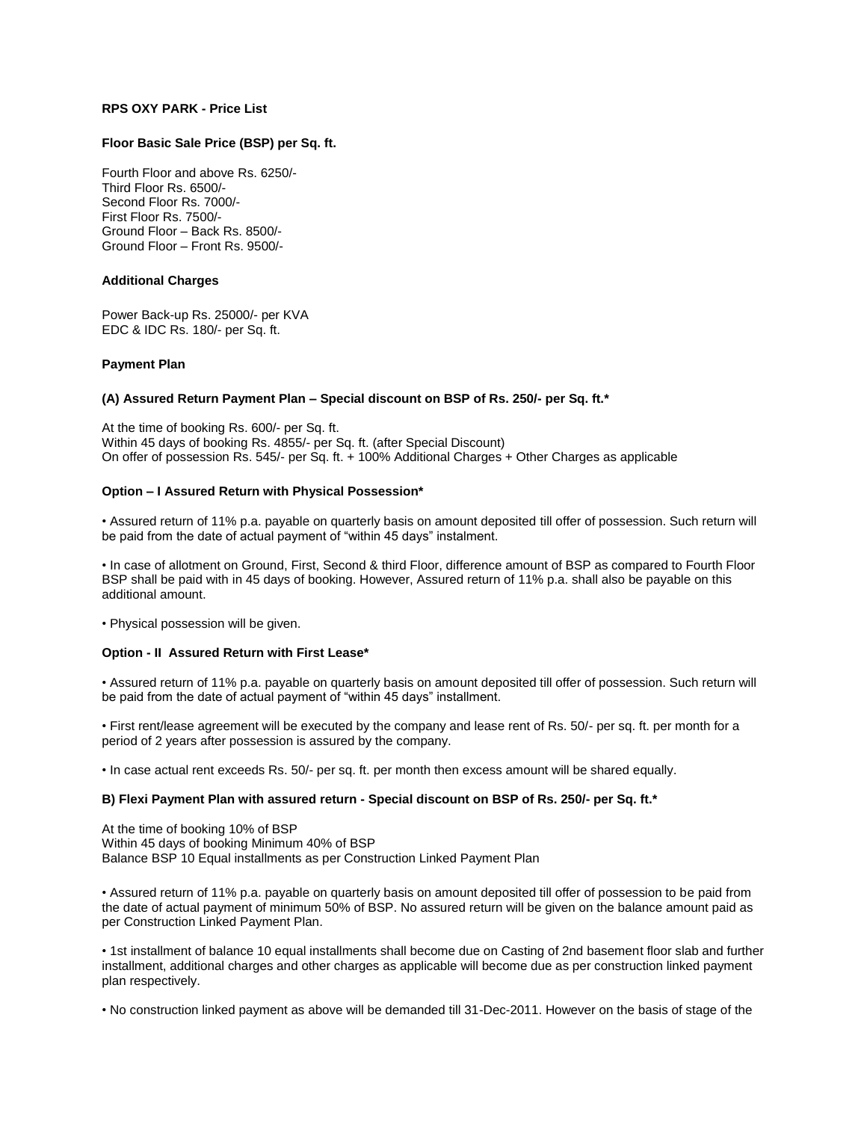# **RPS OXY PARK - Price List**

### **Floor Basic Sale Price (BSP) per Sq. ft.**

Fourth Floor and above Rs. 6250/- Third Floor Rs. 6500/- Second Floor Rs. 7000/- First Floor Rs. 7500/- Ground Floor – Back Rs. 8500/- Ground Floor – Front Rs. 9500/-

### **Additional Charges**

Power Back-up Rs. 25000/- per KVA EDC & IDC Rs. 180/- per Sq. ft.

## **Payment Plan**

## **(A) Assured Return Payment Plan – Special discount on BSP of Rs. 250/- per Sq. ft.\***

At the time of booking Rs. 600/- per Sq. ft. Within 45 days of booking Rs. 4855/- per Sq. ft. (after Special Discount) On offer of possession Rs. 545/- per Sq. ft. + 100% Additional Charges + Other Charges as applicable

## **Option – I Assured Return with Physical Possession\***

• Assured return of 11% p.a. payable on quarterly basis on amount deposited till offer of possession. Such return will be paid from the date of actual payment of "within 45 days" instalment.

• In case of allotment on Ground, First, Second & third Floor, difference amount of BSP as compared to Fourth Floor BSP shall be paid with in 45 days of booking. However, Assured return of 11% p.a. shall also be payable on this additional amount.

• Physical possession will be given.

### **Option - II Assured Return with First Lease\***

• Assured return of 11% p.a. payable on quarterly basis on amount deposited till offer of possession. Such return will be paid from the date of actual payment of "within 45 days" installment.

• First rent/lease agreement will be executed by the company and lease rent of Rs. 50/- per sq. ft. per month for a period of 2 years after possession is assured by the company.

• In case actual rent exceeds Rs. 50/- per sq. ft. per month then excess amount will be shared equally.

### **B) Flexi Payment Plan with assured return - Special discount on BSP of Rs. 250/- per Sq. ft.\***

At the time of booking 10% of BSP Within 45 days of booking Minimum 40% of BSP Balance BSP 10 Equal installments as per Construction Linked Payment Plan

• Assured return of 11% p.a. payable on quarterly basis on amount deposited till offer of possession to be paid from the date of actual payment of minimum 50% of BSP. No assured return will be given on the balance amount paid as per Construction Linked Payment Plan.

• 1st installment of balance 10 equal installments shall become due on Casting of 2nd basement floor slab and further installment, additional charges and other charges as applicable will become due as per construction linked payment plan respectively.

• No construction linked payment as above will be demanded till 31-Dec-2011. However on the basis of stage of the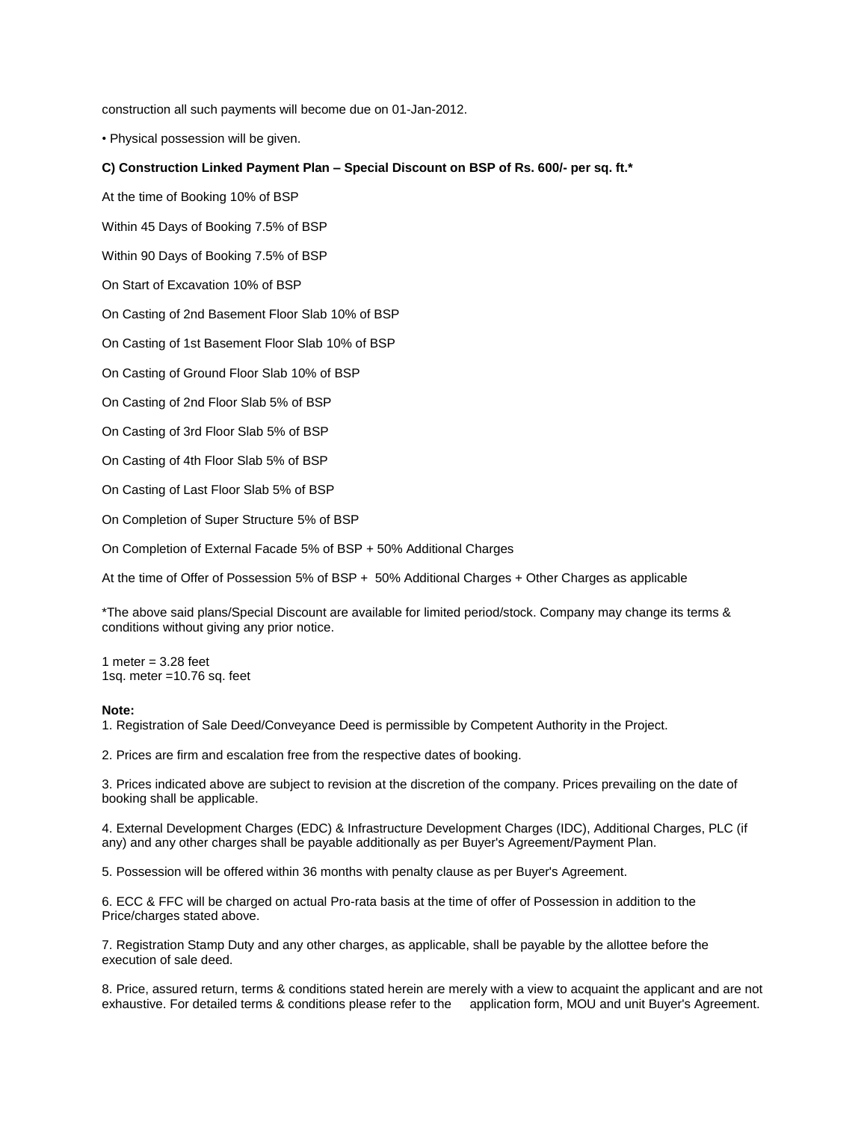construction all such payments will become due on 01-Jan-2012.

• Physical possession will be given.

### **C) Construction Linked Payment Plan – Special Discount on BSP of Rs. 600/- per sq. ft.\***

At the time of Booking 10% of BSP

Within 45 Days of Booking 7.5% of BSP

Within 90 Days of Booking 7.5% of BSP

On Start of Excavation 10% of BSP

On Casting of 2nd Basement Floor Slab 10% of BSP

On Casting of 1st Basement Floor Slab 10% of BSP

On Casting of Ground Floor Slab 10% of BSP

On Casting of 2nd Floor Slab 5% of BSP

On Casting of 3rd Floor Slab 5% of BSP

On Casting of 4th Floor Slab 5% of BSP

On Casting of Last Floor Slab 5% of BSP

On Completion of Super Structure 5% of BSP

On Completion of External Facade 5% of BSP + 50% Additional Charges

At the time of Offer of Possession 5% of BSP + 50% Additional Charges + Other Charges as applicable

\*The above said plans/Special Discount are available for limited period/stock. Company may change its terms & conditions without giving any prior notice.

1 meter  $= 3.28$  feet 1sq. meter =10.76 sq. feet

#### **Note:**

1. Registration of Sale Deed/Conveyance Deed is permissible by Competent Authority in the Project.

2. Prices are firm and escalation free from the respective dates of booking.

3. Prices indicated above are subject to revision at the discretion of the company. Prices prevailing on the date of booking shall be applicable.

4. External Development Charges (EDC) & Infrastructure Development Charges (IDC), Additional Charges, PLC (if any) and any other charges shall be payable additionally as per Buyer's Agreement/Payment Plan.

5. Possession will be offered within 36 months with penalty clause as per Buyer's Agreement.

6. ECC & FFC will be charged on actual Pro-rata basis at the time of offer of Possession in addition to the Price/charges stated above.

7. Registration Stamp Duty and any other charges, as applicable, shall be payable by the allottee before the execution of sale deed.

8. Price, assured return, terms & conditions stated herein are merely with a view to acquaint the applicant and are not exhaustive. For detailed terms & conditions please refer to the application form, MOU and unit Buyer's Agreement.